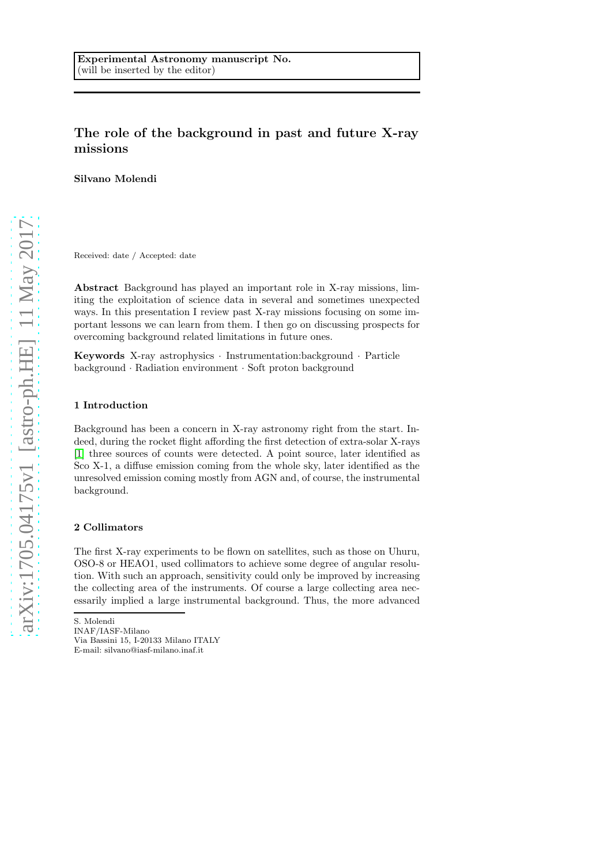# The role of the background in past and future X-ray missions

Silvano Molendi

Received: date / Accepted: date

Abstract Background has played an important role in X-ray missions, limiting the exploitation of science data in several and sometimes unexpected ways. In this presentation I review past X-ray missions focusing on some important lessons we can learn from them. I then go on discussing prospects for overcoming background related limitations in future ones.

Keywords X-ray astrophysics · Instrumentation:background · Particle background · Radiation environment · Soft proton background

#### 1 Introduction

Background has been a concern in X-ray astronomy right from the start. Indeed, during the rocket flight affording the first detection of extra-solar X-rays [\[1\]](#page-8-0) three sources of counts were detected. A point source, later identified as Sco X-1, a diffuse emission coming from the whole sky, later identified as the unresolved emission coming mostly from AGN and, of course, the instrumental background.

#### 2 Collimators

The first X-ray experiments to be flown on satellites, such as those on Uhuru, OSO-8 or HEAO1, used collimators to achieve some degree of angular resolution. With such an approach, sensitivity could only be improved by increasing the collecting area of the instruments. Of course a large collecting area necessarily implied a large instrumental background. Thus, the more advanced

S. Molendi

INAF/IASF-Milano Via Bassini 15, I-20133 Milano ITALY E-mail: silvano@iasf-milano.inaf.it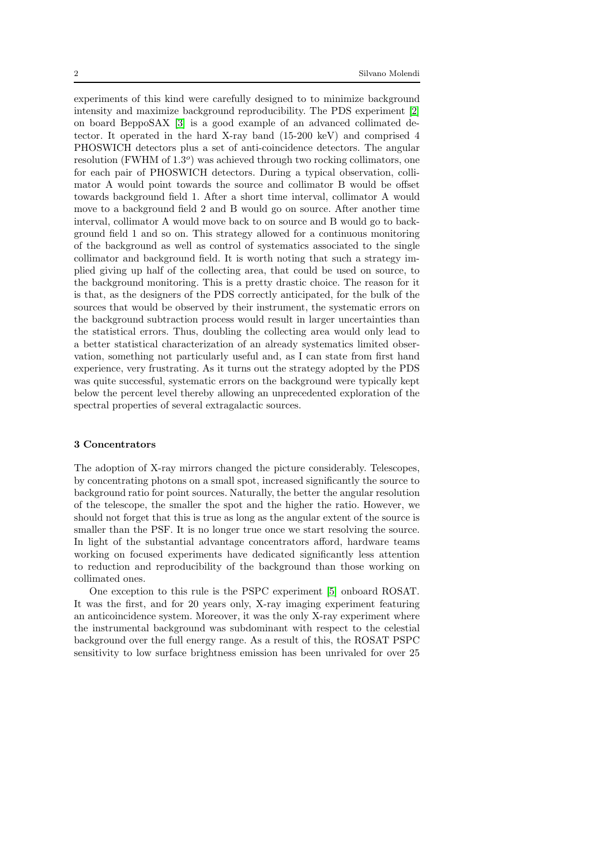experiments of this kind were carefully designed to to minimize background intensity and maximize background reproducibility. The PDS experiment [\[2\]](#page-8-1) on board BeppoSAX [\[3\]](#page-9-0) is a good example of an advanced collimated detector. It operated in the hard X-ray band (15-200 keV) and comprised 4 PHOSWICH detectors plus a set of anti-coincidence detectors. The angular resolution (FWHM of  $1.3^{\circ}$ ) was achieved through two rocking collimators, one for each pair of PHOSWICH detectors. During a typical observation, collimator A would point towards the source and collimator B would be offset towards background field 1. After a short time interval, collimator A would move to a background field 2 and B would go on source. After another time interval, collimator A would move back to on source and B would go to background field 1 and so on. This strategy allowed for a continuous monitoring of the background as well as control of systematics associated to the single collimator and background field. It is worth noting that such a strategy implied giving up half of the collecting area, that could be used on source, to the background monitoring. This is a pretty drastic choice. The reason for it is that, as the designers of the PDS correctly anticipated, for the bulk of the sources that would be observed by their instrument, the systematic errors on the background subtraction process would result in larger uncertainties than the statistical errors. Thus, doubling the collecting area would only lead to a better statistical characterization of an already systematics limited observation, something not particularly useful and, as I can state from first hand experience, very frustrating. As it turns out the strategy adopted by the PDS was quite successful, systematic errors on the background were typically kept below the percent level thereby allowing an unprecedented exploration of the spectral properties of several extragalactic sources.

#### 3 Concentrators

The adoption of X-ray mirrors changed the picture considerably. Telescopes, by concentrating photons on a small spot, increased significantly the source to background ratio for point sources. Naturally, the better the angular resolution of the telescope, the smaller the spot and the higher the ratio. However, we should not forget that this is true as long as the angular extent of the source is smaller than the PSF. It is no longer true once we start resolving the source. In light of the substantial advantage concentrators afford, hardware teams working on focused experiments have dedicated significantly less attention to reduction and reproducibility of the background than those working on collimated ones.

One exception to this rule is the PSPC experiment [\[5\]](#page-9-1) onboard ROSAT. It was the first, and for 20 years only, X-ray imaging experiment featuring an anticoincidence system. Moreover, it was the only X-ray experiment where the instrumental background was subdominant with respect to the celestial background over the full energy range. As a result of this, the ROSAT PSPC sensitivity to low surface brightness emission has been unrivaled for over 25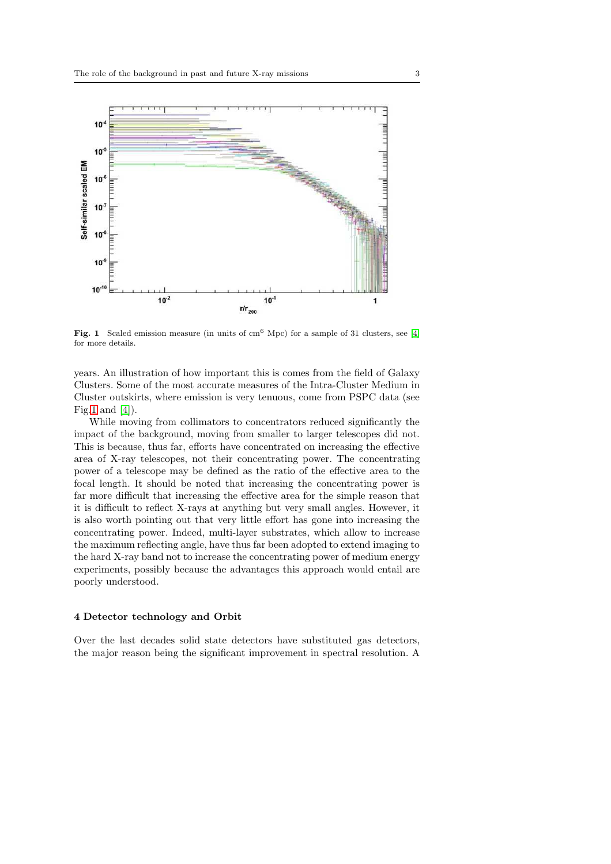

<span id="page-2-0"></span>Fig. 1 Scaled emission measure (in units of  $cm<sup>6</sup>$  Mpc) for a sample of 31 clusters, see [\[4\]](#page-9-2) for more details.

years. An illustration of how important this is comes from the field of Galaxy Clusters. Some of the most accurate measures of the Intra-Cluster Medium in Cluster outskirts, where emission is very tenuous, come from PSPC data (see Fig[.1](#page-2-0) and  $[4]$ ).

While moving from collimators to concentrators reduced significantly the impact of the background, moving from smaller to larger telescopes did not. This is because, thus far, efforts have concentrated on increasing the effective area of X-ray telescopes, not their concentrating power. The concentrating power of a telescope may be defined as the ratio of the effective area to the focal length. It should be noted that increasing the concentrating power is far more difficult that increasing the effective area for the simple reason that it is difficult to reflect X-rays at anything but very small angles. However, it is also worth pointing out that very little effort has gone into increasing the concentrating power. Indeed, multi-layer substrates, which allow to increase the maximum reflecting angle, have thus far been adopted to extend imaging to the hard X-ray band not to increase the concentrating power of medium energy experiments, possibly because the advantages this approach would entail are poorly understood.

#### 4 Detector technology and Orbit

Over the last decades solid state detectors have substituted gas detectors, the major reason being the significant improvement in spectral resolution. A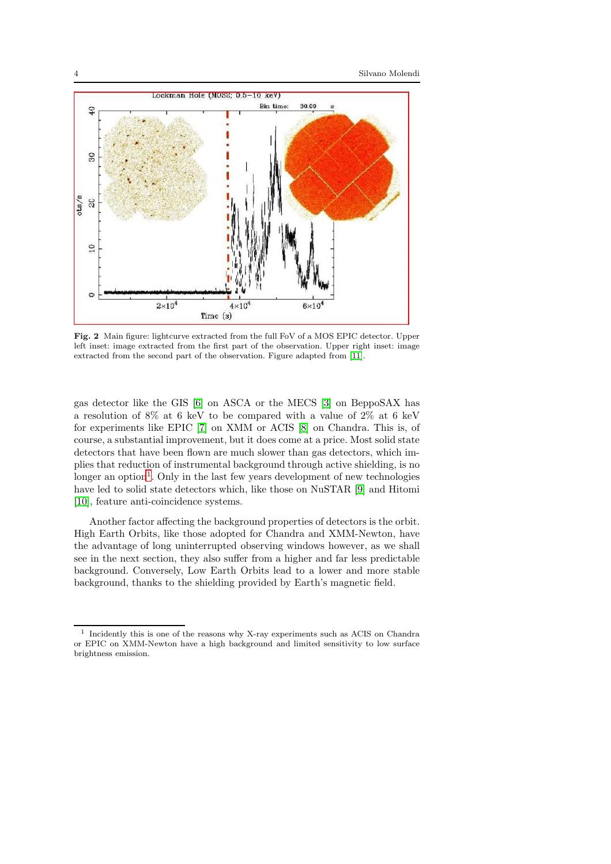

<span id="page-3-1"></span>Fig. 2 Main figure: lightcurve extracted from the full FoV of a MOS EPIC detector. Upper left inset: image extracted from the first part of the observation. Upper right inset: image extracted from the second part of the observation. Figure adapted from [\[11\]](#page-9-3).

gas detector like the GIS [\[6\]](#page-9-4) on ASCA or the MECS [\[3\]](#page-9-0) on BeppoSAX has a resolution of 8% at 6 keV to be compared with a value of 2% at 6 keV for experiments like EPIC [\[7\]](#page-9-5) on XMM or ACIS [\[8\]](#page-9-6) on Chandra. This is, of course, a substantial improvement, but it does come at a price. Most solid state detectors that have been flown are much slower than gas detectors, which implies that reduction of instrumental background through active shielding, is no longer an option<sup>[1](#page-3-0)</sup>. Only in the last few years development of new technologies have led to solid state detectors which, like those on NuSTAR [\[9\]](#page-9-7) and Hitomi [\[10\]](#page-9-8), feature anti-coincidence systems.

Another factor affecting the background properties of detectors is the orbit. High Earth Orbits, like those adopted for Chandra and XMM-Newton, have the advantage of long uninterrupted observing windows however, as we shall see in the next section, they also suffer from a higher and far less predictable background. Conversely, Low Earth Orbits lead to a lower and more stable background, thanks to the shielding provided by Earth's magnetic field.

<span id="page-3-0"></span><sup>1</sup> Incidently this is one of the reasons why X-ray experiments such as ACIS on Chandra or EPIC on XMM-Newton have a high background and limited sensitivity to low surface brightness emission.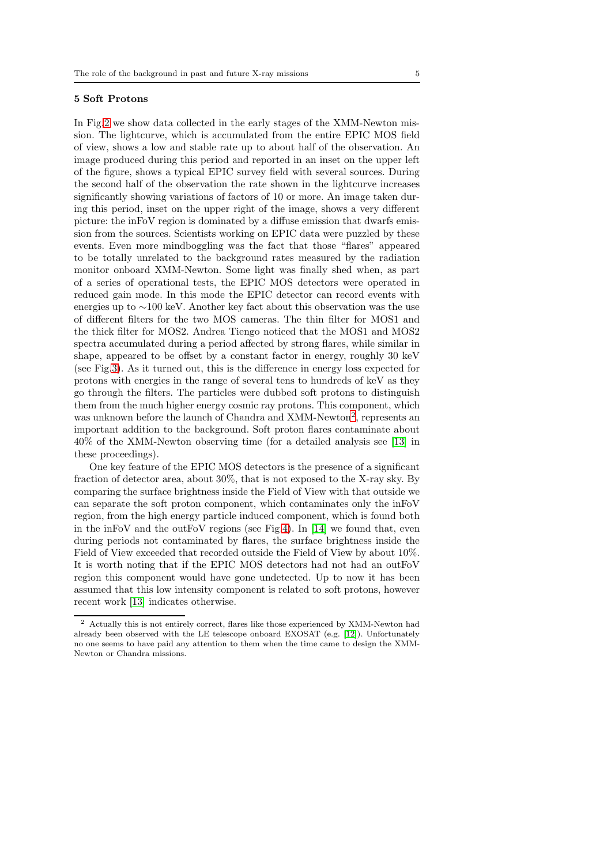# 5 Soft Protons

In Fig[.2](#page-3-1) we show data collected in the early stages of the XMM-Newton mission. The lightcurve, which is accumulated from the entire EPIC MOS field of view, shows a low and stable rate up to about half of the observation. An image produced during this period and reported in an inset on the upper left of the figure, shows a typical EPIC survey field with several sources. During the second half of the observation the rate shown in the lightcurve increases significantly showing variations of factors of 10 or more. An image taken during this period, inset on the upper right of the image, shows a very different picture: the inFoV region is dominated by a diffuse emission that dwarfs emission from the sources. Scientists working on EPIC data were puzzled by these events. Even more mindboggling was the fact that those "flares" appeared to be totally unrelated to the background rates measured by the radiation monitor onboard XMM-Newton. Some light was finally shed when, as part of a series of operational tests, the EPIC MOS detectors were operated in reduced gain mode. In this mode the EPIC detector can record events with energies up to ∼100 keV. Another key fact about this observation was the use of different filters for the two MOS cameras. The thin filter for MOS1 and the thick filter for MOS2. Andrea Tiengo noticed that the MOS1 and MOS2 spectra accumulated during a period affected by strong flares, while similar in shape, appeared to be offset by a constant factor in energy, roughly 30 keV (see Fig[.3\)](#page-5-0). As it turned out, this is the difference in energy loss expected for protons with energies in the range of several tens to hundreds of keV as they go through the filters. The particles were dubbed soft protons to distinguish them from the much higher energy cosmic ray protons. This component, which was unknown before the launch of Chandra and XMM-Newton<sup>[2](#page-4-0)</sup>, represents an important addition to the background. Soft proton flares contaminate about 40% of the XMM-Newton observing time (for a detailed analysis see [\[13\]](#page-9-9) in these proceedings).

One key feature of the EPIC MOS detectors is the presence of a significant fraction of detector area, about 30%, that is not exposed to the X-ray sky. By comparing the surface brightness inside the Field of View with that outside we can separate the soft proton component, which contaminates only the inFoV region, from the high energy particle induced component, which is found both in the inFoV and the outFoV regions (see Fig[.4\)](#page-6-0). In  $[14]$  we found that, even during periods not contaminated by flares, the surface brightness inside the Field of View exceeded that recorded outside the Field of View by about 10%. It is worth noting that if the EPIC MOS detectors had not had an outFoV region this component would have gone undetected. Up to now it has been assumed that this low intensity component is related to soft protons, however recent work [\[13\]](#page-9-9) indicates otherwise.

<span id="page-4-0"></span><sup>2</sup> Actually this is not entirely correct, flares like those experienced by XMM-Newton had already been observed with the LE telescope onboard EXOSAT (e.g. [\[12\]](#page-9-11)). Unfortunately no one seems to have paid any attention to them when the time came to design the XMM-Newton or Chandra missions.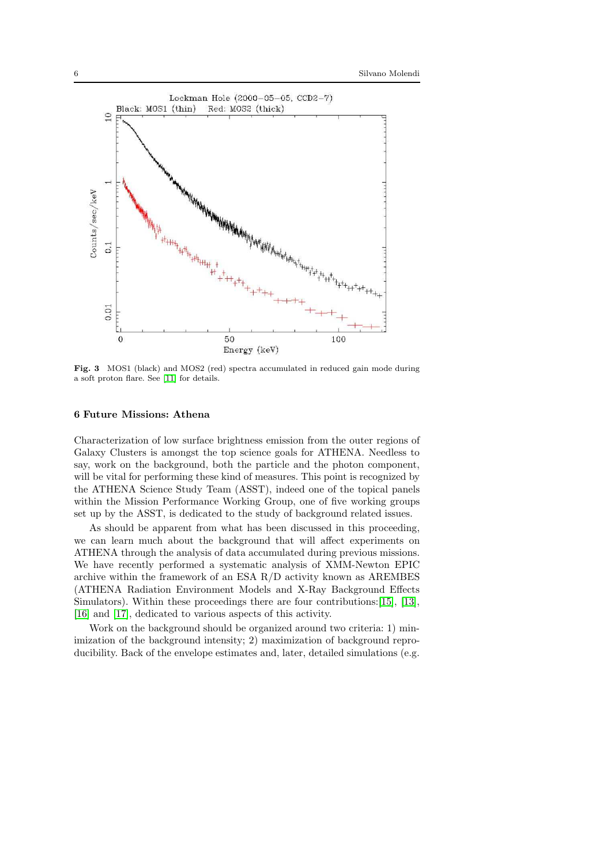

<span id="page-5-0"></span>Fig. 3 MOS1 (black) and MOS2 (red) spectra accumulated in reduced gain mode during a soft proton flare. See [\[11\]](#page-9-3) for details.

#### 6 Future Missions: Athena

Characterization of low surface brightness emission from the outer regions of Galaxy Clusters is amongst the top science goals for ATHENA. Needless to say, work on the background, both the particle and the photon component, will be vital for performing these kind of measures. This point is recognized by the ATHENA Science Study Team (ASST), indeed one of the topical panels within the Mission Performance Working Group, one of five working groups set up by the ASST, is dedicated to the study of background related issues.

As should be apparent from what has been discussed in this proceeding, we can learn much about the background that will affect experiments on ATHENA through the analysis of data accumulated during previous missions. We have recently performed a systematic analysis of XMM-Newton EPIC archive within the framework of an ESA  $R/D$  activity known as AREMBES (ATHENA Radiation Environment Models and X-Ray Background Effects Simulators). Within these proceedings there are four contributions:[\[15\]](#page-9-12), [\[13\]](#page-9-9), [\[16\]](#page-9-13) and [\[17\]](#page-10-0), dedicated to various aspects of this activity.

Work on the background should be organized around two criteria: 1) minimization of the background intensity; 2) maximization of background reproducibility. Back of the envelope estimates and, later, detailed simulations (e.g.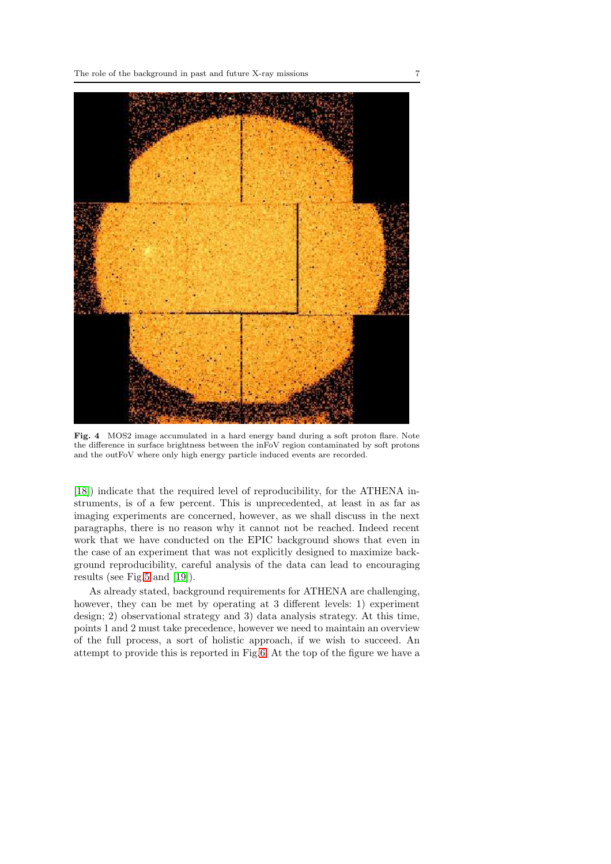

<span id="page-6-0"></span>Fig. 4 MOS2 image accumulated in a hard energy band during a soft proton flare. Note the difference in surface brightness between the inFoV region contaminated by soft protons and the outFoV where only high energy particle induced events are recorded.

[\[18\]](#page-10-1)) indicate that the required level of reproducibility, for the ATHENA instruments, is of a few percent. This is unprecedented, at least in as far as imaging experiments are concerned, however, as we shall discuss in the next paragraphs, there is no reason why it cannot not be reached. Indeed recent work that we have conducted on the EPIC background shows that even in the case of an experiment that was not explicitly designed to maximize background reproducibility, careful analysis of the data can lead to encouraging results (see Fig[.5](#page-7-0) and [\[19\]](#page-10-2)).

As already stated, background requirements for ATHENA are challenging, however, they can be met by operating at 3 different levels: 1) experiment design; 2) observational strategy and 3) data analysis strategy. At this time, points 1 and 2 must take precedence, however we need to maintain an overview of the full process, a sort of holistic approach, if we wish to succeed. An attempt to provide this is reported in Fig[.6.](#page-8-2) At the top of the figure we have a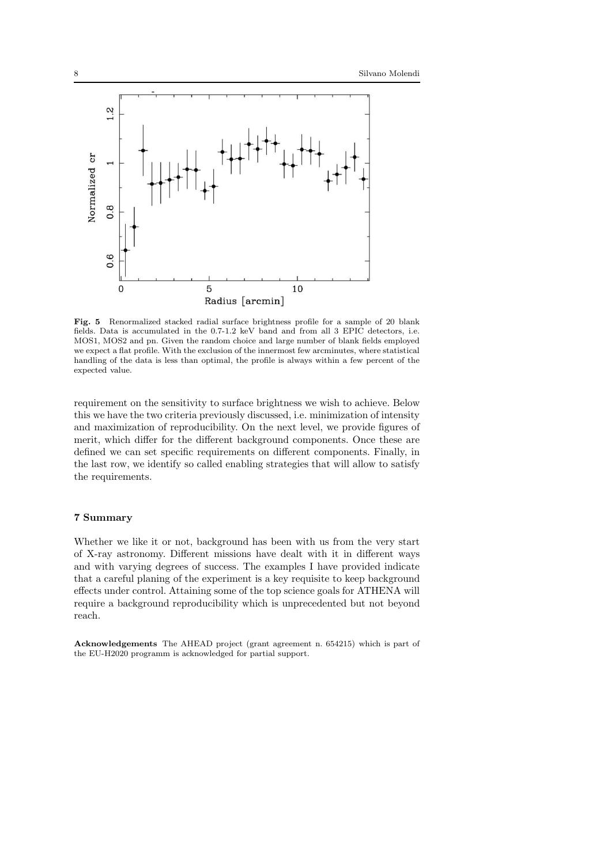

<span id="page-7-0"></span>Fig. 5 Renormalized stacked radial surface brightness profile for a sample of 20 blank fields. Data is accumulated in the 0.7-1.2 keV band and from all 3 EPIC detectors, i.e. MOS1, MOS2 and pn. Given the random choice and large number of blank fields employed we expect a flat profile. With the exclusion of the innermost few arcminutes, where statistical handling of the data is less than optimal, the profile is always within a few percent of the expected value.

requirement on the sensitivity to surface brightness we wish to achieve. Below this we have the two criteria previously discussed, i.e. minimization of intensity and maximization of reproducibility. On the next level, we provide figures of merit, which differ for the different background components. Once these are defined we can set specific requirements on different components. Finally, in the last row, we identify so called enabling strategies that will allow to satisfy the requirements.

### 7 Summary

Whether we like it or not, background has been with us from the very start of X-ray astronomy. Different missions have dealt with it in different ways and with varying degrees of success. The examples I have provided indicate that a careful planing of the experiment is a key requisite to keep background effects under control. Attaining some of the top science goals for ATHENA will require a background reproducibility which is unprecedented but not beyond reach.

Acknowledgements The AHEAD project (grant agreement n. 654215) which is part of the EU-H2020 programm is acknowledged for partial support.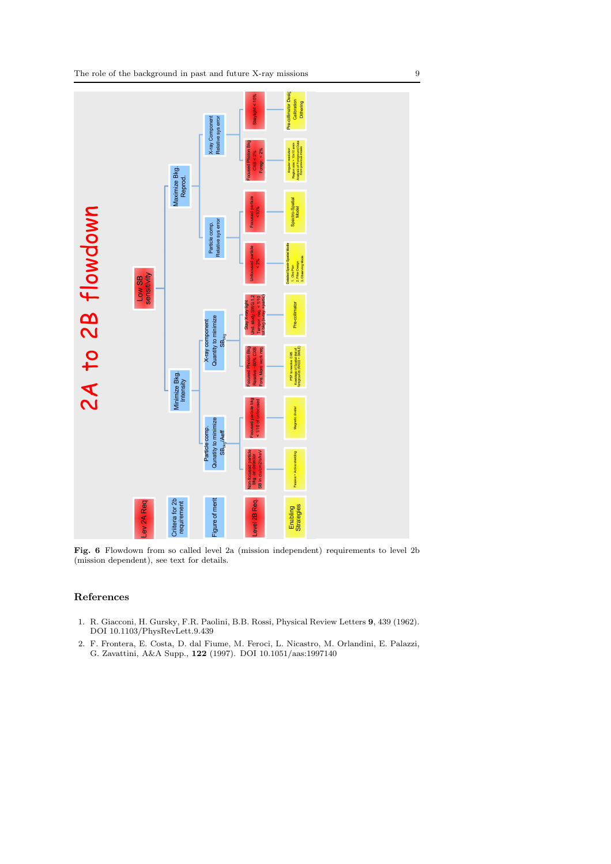

<span id="page-8-2"></span>Fig. 6 Flowdown from so called level 2a (mission independent) requirements to level 2b (mission dependent), see text for details.

## References

- <span id="page-8-0"></span>1. R. Giacconi, H. Gursky, F.R. Paolini, B.B. Rossi, Physical Review Letters 9, 439 (1962). DOI 10.1103/PhysRevLett.9.439
- <span id="page-8-1"></span>2. F. Frontera, E. Costa, D. dal Fiume, M. Feroci, L. Nicastro, M. Orlandini, E. Palazzi, G. Zavattini, A&A Supp., 122 (1997). DOI 10.1051/aas:1997140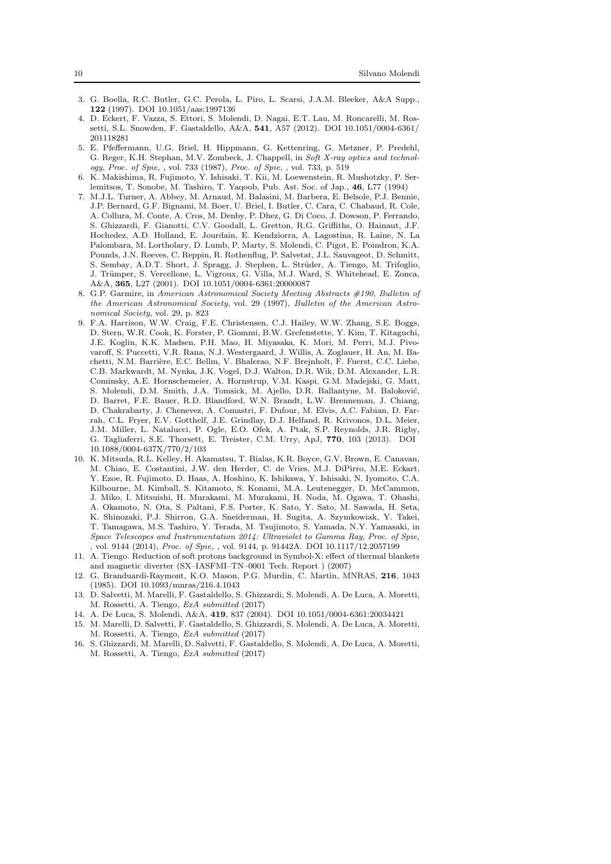- <span id="page-9-0"></span>3. G. Boella, R.C. Butler, G.C. Perola, L. Piro, L. Scarsi, J.A.M. Bleeker, A&A Supp., 122 (1997). DOI 10.1051/aas:1997136
- <span id="page-9-2"></span>4. D. Eckert, F. Vazza, S. Ettori, S. Molendi, D. Nagai, E.T. Lau, M. Roncarelli, M. Rossetti, S.L. Snowden, F. Gastaldello, A&A, 541, A57 (2012). DOI 10.1051/0004-6361/ 201118281
- <span id="page-9-1"></span>5. E. Pfeffermann, U.G. Briel, H. Hippmann, G. Kettenring, G. Metzner, P. Predehl, G. Reger, K.H. Stephan, M.V. Zombeck, J. Chappell, in *Soft X-ray optics and technology*, *Proc. of Spie,* , vol. 733 (1987), *Proc. of Spie,* , vol. 733, p. 519
- <span id="page-9-4"></span>6. K. Makishima, R. Fujimoto, Y. Ishisaki, T. Kii, M. Loewenstein, R. Mushotzky, P. Serlemitsos, T. Sonobe, M. Tashiro, T. Yaqoob, Pub. Ast. Soc. of Jap., 46, L77 (1994)
- <span id="page-9-5"></span>7. M.J.L. Turner, A. Abbey, M. Arnaud, M. Balasini, M. Barbera, E. Belsole, P.J. Bennie, J.P. Bernard, G.F. Bignami, M. Boer, U. Briel, I. Butler, C. Cara, C. Chabaud, R. Cole, A. Collura, M. Conte, A. Cros, M. Denby, P. Dhez, G. Di Coco, J. Dowson, P. Ferrando, S. Ghizzardi, F. Gianotti, C.V. Goodall, L. Gretton, R.G. Griffiths, O. Hainaut, J.F. Hochedez, A.D. Holland, E. Jourdain, E. Kendziorra, A. Lagostina, R. Laine, N. La Palombara, M. Lortholary, D. Lumb, P. Marty, S. Molendi, C. Pigot, E. Poindron, K.A. Pounds, J.N. Reeves, C. Reppin, R. Rothenflug, P. Salvetat, J.L. Sauvageot, D. Schmitt, S. Sembay, A.D.T. Short, J. Spragg, J. Stephen, L. Strüder, A. Tiengo, M. Trifoglio, J. Trümper, S. Vercellone, L. Vigroux, G. Villa, M.J. Ward, S. Whitehead, E. Zonca, A&A, 365, L27 (2001). DOI 10.1051/0004-6361:20000087
- <span id="page-9-6"></span>8. G.P. Garmire, in *American Astronomical Society Meeting Abstracts #190*, *Bulletin of the American Astronomical Society*, vol. 29 (1997), *Bulletin of the American Astronomical Society*, vol. 29, p. 823
- <span id="page-9-7"></span>9. F.A. Harrison, W.W. Craig, F.E. Christensen, C.J. Hailey, W.W. Zhang, S.E. Boggs, D. Stern, W.R. Cook, K. Forster, P. Giommi, B.W. Grefenstette, Y. Kim, T. Kitaguchi, J.E. Koglin, K.K. Madsen, P.H. Mao, H. Miyasaka, K. Mori, M. Perri, M.J. Pivovaroff, S. Puccetti, V.R. Rana, N.J. Westergaard, J. Willis, A. Zoglauer, H. An, M. Bachetti, N.M. Barrière, E.C. Bellm, V. Bhalerao, N.F. Brejnholt, F. Fuerst, C.C. Liebe, C.B. Markwardt, M. Nynka, J.K. Vogel, D.J. Walton, D.R. Wik, D.M. Alexander, L.R. Cominsky, A.E. Hornschemeier, A. Hornstrup, V.M. Kaspi, G.M. Madejski, G. Matt, S. Molendi, D.M. Smith, J.A. Tomsick, M. Ajello, D.R. Ballantyne, M. Baloković, D. Barret, F.E. Bauer, R.D. Blandford, W.N. Brandt, L.W. Brenneman, J. Chiang, D. Chakrabarty, J. Chenevez, A. Comastri, F. Dufour, M. Elvis, A.C. Fabian, D. Farrah, C.L. Fryer, E.V. Gotthelf, J.E. Grindlay, D.J. Helfand, R. Krivonos, D.L. Meier, J.M. Miller, L. Natalucci, P. Ogle, E.O. Ofek, A. Ptak, S.P. Reynolds, J.R. Rigby, G. Tagliaferri, S.E. Thorsett, E. Treister, C.M. Urry, ApJ, 770, 103 (2013). DOI 10.1088/0004-637X/770/2/103
- <span id="page-9-8"></span>10. K. Mitsuda, R.L. Kelley, H. Akamatsu, T. Bialas, K.R. Boyce, G.V. Brown, E. Canavan, M. Chiao, E. Costantini, J.W. den Herder, C. de Vries, M.J. DiPirro, M.E. Eckart, Y. Ezoe, R. Fujimoto, D. Haas, A. Hoshino, K. Ishikawa, Y. Ishisaki, N. Iyomoto, C.A. Kilbourne, M. Kimball, S. Kitamoto, S. Konami, M.A. Leutenegger, D. McCammon, J. Miko, I. Mitsuishi, H. Murakami, M. Murakami, H. Noda, M. Ogawa, T. Ohashi, A. Okamoto, N. Ota, S. Paltani, F.S. Porter, K. Sato, Y. Sato, M. Sawada, H. Seta, K. Shinozaki, P.J. Shirron, G.A. Sneiderman, H. Sugita, A. Szymkowiak, Y. Takei, T. Tamagawa, M.S. Tashiro, Y. Terada, M. Tsujimoto, S. Yamada, N.Y. Yamasaki, in *Space Telescopes and Instrumentation 2014: Ultraviolet to Gamma Ray*, *Proc. of Spie,* , vol. 9144 (2014), *Proc. of Spie,* , vol. 9144, p. 91442A. DOI 10.1117/12.2057199
- <span id="page-9-3"></span>11. A. Tiengo. Reduction of soft protons background in Symbol-X: effect of thermal blankets and magnetic diverter (SX–IASFMI–TN–0001 Tech. Report ) (2007)
- <span id="page-9-11"></span>12. G. Branduardi-Raymont, K.O. Mason, P.G. Murdin, C. Martin, MNRAS, 216, 1043 (1985). DOI 10.1093/mnras/216.4.1043
- <span id="page-9-9"></span>13. D. Salvetti, M. Marelli, F. Gastaldello, S. Ghizzardi, S. Molendi, A. De Luca, A. Moretti, M. Rossetti, A. Tiengo, *ExA submitted* (2017)
- <span id="page-9-12"></span><span id="page-9-10"></span>14. A. De Luca, S. Molendi, A&A, 419, 837 (2004). DOI 10.1051/0004-6361:20034421
- 15. M. Marelli, D. Salvetti, F. Gastaldello, S. Ghizzardi, S. Molendi, A. De Luca, A. Moretti, M. Rossetti, A. Tiengo, *ExA submitted* (2017)
- <span id="page-9-13"></span>16. S. Ghizzardi, M. Marelli, D. Salvetti, F. Gastaldello, S. Molendi, A. De Luca, A. Moretti, M. Rossetti, A. Tiengo, *ExA submitted* (2017)